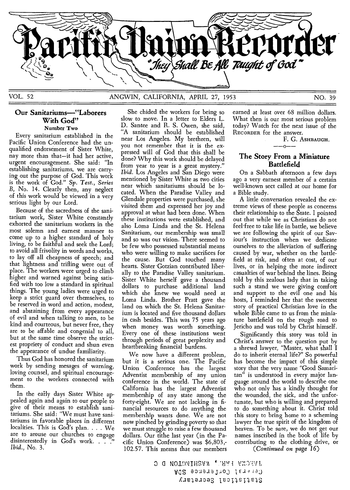

#### **Our Sanitariums—"Laborers With God"**  Number Two

Every sanitarium established in the Pacific Union Conference had the unqualified endorsement of Sister White, nay more than that—it had her active, urgent encouragement. She said: "In establishing sanitariums, we are carrying out the purpose of God. This work is the work of God." Sp. *Test., Series*  B, No. 14. Clearly then, any neglect of this work would be viewed in a very serious light by our Lord.

Because of the sacredness of the sanitarium work, Sister White constantly exhorted the sanitarium workers in the most solemn and earnest manner to come up to a higher standard of holy living, to be faithful and seek the Lord; to avoid all frivolity in words and works, to lay off all cheapness of speech; and that lightness and trifling were out of place. The workers were urged to climb higher and warned against being satisfied with too low a standard in spiritual things. The young ladies were urged to keep a strict guard over themselves, to be reserved in word and action, modest, and abstaining from every appearance of evil and when talking to men, to be kind and courteous, but never free, they are to be affable and congenial to all, but at the same time observe the strictest propriety of conduct and shun even the appearance of undue familiarity.

Thus God has honored the sanitarium work by sending mesages of warning, loving counsel, and spiritual encouragement to the workers connected with them.

In the early days Sister White appealed again and again to our people to give of their means to establish sanitariums. She said: "We must have sanitariums in favorable places in different localities. This is God's plan. . . . We are to arouse our churches to engage disinterestedly in God's work. . . . .<br>Ibid., No. 3.

She chided the workers for being so slow to move. In a letter to Elders L. D. Santee and R. S. Owen, she said, "A sanitarium should be established near Los Angeles. My brethren, will you not remember that it is the expressed will of God that this shall be done? Why this work should be delayed from year to year is a great mystery." *Ibid.* Los Angeles and San Diego were mentioned by Sister White as two cities near which sanitariums should be located. When the Paradise Valley and Glendale properties were purchased, she visited them and expressed her joy and approval at what had been done. When these institutions were established, and also Loma Linda and, the St. Helena Sanitarium, our membership was small and so was our vision. There seemed to be few who possessed substantial means who were willing to make sacrifices for the cause. But God touched many hearts. Sister •Gotzian contributed liberally to the Paradise Valley sanitarium. Sister White herself gave a thousand dollars to purchase additional land which she knew we would need at Loma Linda. Brother Pratt gave the land on which the St. Helena Sanitarium is located and five thousand dollars in cash besides. This was 75 years ago when money was worth something. Every one of these institutions went through periods of great perplexity and heartbreaking financial burdens.

We now have a different problem, but it is a serious one. The Pacific Union Conference has the largest Adventist membership of any union conference in the world. The state of California has the largest Adventist membership of any state among the forty-eight. We are not lacking in financial resources to do anything the membership wants done. We are not now pinched by grinding poverty so that we must struggle to raise a few thousand dollars. Our tithe last year (in the Pacific Union Conference) was \$6,803,- 102.57. This means that our members *(Continued on page 16) Ibid.,* No. 3.

earned at least over 68 million dollars. What then is our most serious problem today? Watch for the next issue of the RECORDER for the answer.

F. G. ASHBAUGH. 'n.

#### **The Story From a Miniature Battlefield**

On a Sabbath afternoon a few days ago a very earnest member of a certain well-known sect called at our home for a Bible study.

A little conversation revealed the extreme views of these people as concerns their relationship to the State. I pointed out that while we as Christians do not feel free to take life in battle, we believe we are following the spirit of our Saviour's instruction when we dedicate ourselves to the alleviation of suffering caused by war, whether on the battlefield at risk, and often at cost, of our lives, or in helping the more indirect casualties of war behind the lines. Being told by this zealous lady that in taking such a stand we were giving comfort and support to the evil one and his hosts, I reminded her that the sweetest story of practical Christian love in the whole Bible came to us from the miniature battlefield on the rough road to Jericho and was told by Christ himself.

Significantly this story was told in Christ's answer to the question put by a shrewd lawyer, "Master, what shall I do to inherit eternal life?" So powerful has become the impact of this simple story that the very name "Good Samaritan" is understood in every major language around the world to describe one who not only has a kindly thought for the wounded, the sick, and the unfortunate, but who is willing and prepared to do something about it. Christ told this story to bring home to a scheming lawyer the true spirit of the kingdom of heaven. To be sure, we do not get our names inscribed in the book of life by contributing to the clothing drive, or

0 G NOTDAIHSAN 'ARAH AMORAP Ad2 eonerelaco Iensieo JC-veleapas ition.sor'els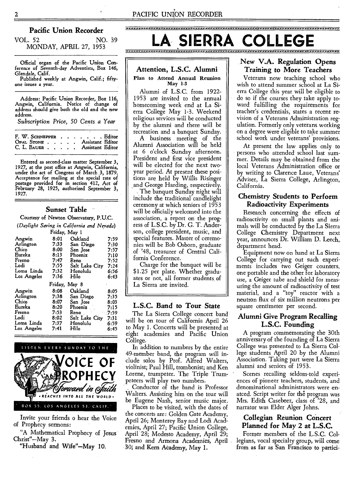#### **Pacific Union Recorder**

VOL. 52 NO. 39 MONDAY, APRIL 27, 1953

Official organ of the Pacific Union Con-ference of Seventh-day Adventists, Box 146, Glendale, Calif.

Published weekly at Angwin, Calif.; fiftyone issues a year.

Address: Pacific Union Recorder, Box 116, Angwin, California. Notice of change of address should give both the old and the new address.

*Subscription Price, 50 Cents a Year* 

| F. W. SCHNEPPER Editor       |  |  |  |  |
|------------------------------|--|--|--|--|
| OPAL STONE Assistant Editor  |  |  |  |  |
| C. L. BAUER Assistant Editor |  |  |  |  |

Entered as second-class matter September 3, 1927, at the post office at Angwin, California, under the act of Congress of March 3, 1879. Acceptance for mailing at the special rate of postage provided for in section 412, Act of February 28, 1925, authorized September 3, 1927.

#### **Sunset Table**

Courtesy of Newton Observatory, P.U.C.

*(Daylight Saving in California and Neyada)* 

| Friday, May 1 |         |                |         |  |  |  |  |  |
|---------------|---------|----------------|---------|--|--|--|--|--|
| Angwin        | 8:01    | Oakland        | 7:59    |  |  |  |  |  |
| Arlington     | 7:33    | San Diego      | 7:30    |  |  |  |  |  |
| Chico         | 8:00    | San Jose       | 7:57    |  |  |  |  |  |
| Eureka        | 8:13    | Phoenix        | 7:10    |  |  |  |  |  |
| Fresno        | 7:47    | Reno           | 7:52    |  |  |  |  |  |
| Lodi          | 7:55    | Salt Lake City | 7:24    |  |  |  |  |  |
| Loma Linda    | 7:32    | Honolulu       | 6:56    |  |  |  |  |  |
| Los Angeles   | 7:36    | Hilo           | 6:43    |  |  |  |  |  |
|               | Friday, | May 8          |         |  |  |  |  |  |
| Angwin        | 8:08    | Oakland        | 8:05    |  |  |  |  |  |
| Arlington     | 7:38    | San Diego      | 7:35    |  |  |  |  |  |
| Chico         | 8:07    | San Jose       | 8:03    |  |  |  |  |  |
| Eureka        | 8:20    | Phoenix        | 7:15    |  |  |  |  |  |
| Fresno        | 7:53    | Reno           | $-7:59$ |  |  |  |  |  |
| Lodi          | 8:02    | Salt Lake Citv | 7:31    |  |  |  |  |  |
| Loma Linda    |         |                |         |  |  |  |  |  |
|               | 7:37    | Honolulu       | 6:59    |  |  |  |  |  |
| Los Angeles   | 7:41    | Hilo           | 6:45    |  |  |  |  |  |

LISTEN EVERY SUNDAY TO THE **OICE OF ROPHECY**  torwand in Staith **.REACHES INTO ALL THE WORLD.**  BOX 55. LOS ANGELES 53. CALIF.

Invite your friends o hear the Voice of Prophecy sermons:

"A Mathematical Prophecy of Jesus Christ"—May 3.

"Husband and Wife"—May 10.

# SIERRA

#### **Attention, L.S.C. Alumni**  Plan to Attend Annual Reunion May 1-3

Alumni of L.S.C. from 1922- 1953 are invited to the annual homecoming week end at La Sierra College May 1-3. Weekend religious services will be conducted by the alumni and there will be recreation and a banquet Sunday.

A business meeting of the Alumni Association will be held at 6 o'clock Sunday afternoon. President and first vice president will be elected for the next twoyear period. At present these positions are held by Willis Risinger and George Harding, respectively.

The banquet Sunday night will include the traditional candlelight ceremony at which seniors of 1953 will be officially welcomed into the association, a report on the progress of L.S.C. by Dr. G. T. Anderson, college president, music, and special features. Master of ceremonies will be Bob Osborn, graduate of '48, treasurer of Central California Conference.

Charge for the banquet will be \$1.25 per plate. Whether graduates or not, all former students of La Sierra are invited.

#### **L.S.C. Band to Tour State**

The La Sierra College concert band will be on tour of California April 26 to May 1. Concerts will be presented at eight academies and Pacific Union College.

In addition to numbers by the entire 49-member band, the program will include solos by Prof. Alfred Walters, violinist; Paul Hill, trombonist; and Ken Lorenz, trumpeter. The Triple Trumpeteers will play two numbers.

Conductor of the band is Professor Walters. Assisting him on the tour will be Eugene Nash, senior music major.

Places to be visited, with the dates of the concerts are: Golden Gate Academy, April 26; Monterey Bay and Lodi Academies, April 27; Pacific Union College, April 28; Modesto Academy, April 29; Fresno and Armona Academies, April 30; and Kern Academy, May 1.

### New **V.A. Regulation Opens Training to More Teachers**

Veterans now teaching school who wish to attend summer school at La Sierra College this year will be eligible to do so if the courses they take apply toward fulfilling the requirements for teacher's credentials, states a recent revision of a Veterans Administration regulation. Formerly only veterans working on a degree were eligible to take summer school work under veterans' provisions.

At present the law applies only to persons who attended school last summer. Details may be obtained from the local Veterans Administration office or by writing to Clarence Laue, Veterans' Adviser, La Sierra College, Arlington, California.

#### Chemistry **Students to Perform Radioactivity Experiments**

Research concerning the effects of radioactivity on small plants and animals will be conducted by the La Sierra College Chemistry Department next year, announces Dr. William D. Leech,. department head.

Equipment now on hand at La Sierra College for carrying out such experiments includes two Geiger counters, one portable and the other for laboratory use, a Geiger tube and shield for measuring the amount of radioactivity of test material, and a "toy" reactor with a neutron flux of six million neutrons per square centimeter per second.

#### **Alumni Give Program Recalling L.S.C. Founding**

A program commemorating the 30th anniversary of the founding of La Sierra College was presented to La Sierra College students April 20 by the Alumni Association. Taking part were La Sierra alumni and seniors of 1953.

Scenes recalling seldom-told experiences of pioneer teachers, students, and denominational administrators were enatced. Script writer for the program was Mrs. Edith Casebeer, class of '28, and narrator was Elder Alger Johns.

#### **Collegian Reunion Concert Planned for May 2 at L.S.C.**

Former members of the L.S.C. Collegians, vocal specialty group, will come from as far as San Francisco to partici-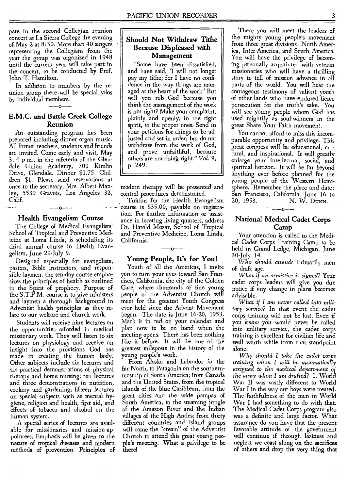pate in the second Collegian reunion concert at La Sierra College the evening of May 2 at 8:30. More than 40 singers representing the Collegians from the year the group was organized in 1948 until the current year will take part in the concert, to be conducted by Prof. John T. Hamilton.

In addition to numbers by the reunion group there will be special solos by individual members.  $-$ 0 $-$ 

#### **E.M.C. and Battle Creek College Reunion**

An outstanding program has been prepared including dinner organ music. All former teachers, students and friends are invited. Come early and visit, May 3, 6 p.m., in the cafeteria of the Glendale Union Academy, 700 Kimlin Drive, Glendale. Dinner \$1.75. Children \$1. Please send reservations at once to the secretary, Mrs. Albert Manley, 5539 Gravois, Los Angeles 32, Calif. **- -** 

### -ი **Health Evangelism Course**

The College of Medical Evangelists' School of Tropical and Preventive Medicine at Loma Linda, is scheduling its third annual course in Health Evangelism, June 29-July 9.

Designed especially for evangelists, pastors, Bible instructors, and responsible laymen, the ten-day course emphasizes the principles of health as outlined in the Spirit of prophecy. Purpose of the S.T.P.M. course is to give ministers and laymen a thorough background in Adventist health principles as they relate to our welfare and church work.

Students will receive nine lectures on the opportunities afforded in medical missionary work. They will listen to six lectures on physiology and receive an insight into the provisions God has made in creating the human body. Other subjects include six lectures and six practical demonstrations of physical therapy and home nursing; ten lectures and three demonstrations in nutrition, cookery and gardening; fifteen lectures on special subjects such as mental hygiene, religion and health, first aid, and effects of tobacco and alcohol on the human system.

A special series of lectures are available for missionaries and mission-appointees. Emphasis will be given to the **nature of tropical diseases and modern methods of prevention. Principles of** 

#### **Should Not Withdraw Tithe Because Displeased with Management**

"Some have been dissatisfied, and have said, 'I will not longer pay my tithe; for I have no confidence in the way things are managed at the heart of the work.' But will you rob God because you think the management of the work is not right? Make your complaint, plainly and openly, in the right spirit, to the proper ones. Send in your petitions for things to be adjusted and set in order; but do not withdraw from the work of God, and prove unfaithful, because others are not doing right." Vol. 9, p. 249.

modern therapy will be presented and control procedures demonstrated.

Tuition for the Health Evangelism course is \$35.00, payable on registration. For further information or assistance in locating living quarters, address Dr. Harold Mozar, School of Tropical and Preventive Medicine, Loma Linda, California.

#### -0-**Young People, It's for You!**

Youth of all the Americas, I invite you to turn your eyes toward San Francisco, California, the city of the Golden Gate, where thousands of fine young people of the Adventist Church will meet for the greatest Youth Congress ever held since the Advent Movement began. The date is June 16-20, 1953. Mark it in red on your calendar and plan now to be on hand when the meeting opens. There has been nothing like it before. It will be one of the greatest mileposts in the history of the young people's work.

From Alaska and Labrador in the far North, to Patagonia on the southernmost tip of South America; from Canada and the United States, from the tropical islands of the blue Caribbean, from the great cities and the wide pampas of South America, to the steaming jungle of the Amazon River and the Indian villages of the High Andes; from thirty different countries and island groups will come the "cream" of the Adventist Church to attend this great young people's **meeting. What a privilege to be there!** 

There you will meet the leaders of the mighty young people's movement from three great divisions: North America, Inter-America, and South America. You will have the privilege of becoming personally acquainted with veteran missionaries who will have a thrilling story to tell of mission advance in all parts of the world. You will hear the courageous testimony of valiant youth of other lands who have endured fierce persecution for the truth's sake. You will see young people whom God has used mightily as soul-winners in the great Share Your Faith movement.

You cannot afford to miss this incomparable opportunity and privilege. This great congress will be educational, cultural, and inspirational. It will greatly enlarge your intellectual, social, and spiritual horizon. It will be far beyond anything ever before planned for the young people of the Western Hemisphere. Remember the place and date: San Francisco, California, June 16 to 20, 1953. N. W. **DUNN. --0--** 

#### **National Medical Cadet Corps**  Camp

Your attention is called to the Medical Cadet Corps Training Camp to be held in Grand Ledge, Michigan, June 30-July 14.

*Who should attend?* Primarily men of draft age.

*What if an armistice is signed?* Your cadet corps leaders will give you due notice if any change in plans becomes advisable.

*What if I am never called into military service?* In that event the cadet corps training will not be lost. Even if you *knew* you would never be called into military service, the cadet corps training is excellent for civilian life and well worth while from that standpoint alone.

*Why should I take the cadet corps training when I will be automatically assigned to the medical department of the army when I am drafted?* **1.** World War II was vastly different to World War I in the way our boys were treated. The faithfulness of the men in World War I had something to do with that. The Medical Cadet Corps program also was a definite and large factor. What assurance do you have that the present favorable attitude of the government will continue if through laziness and neglect we coast along on the **sacrifices of others and drop the very thing that**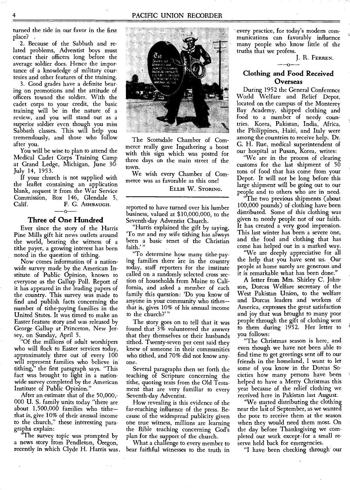turned the tide in our favor in the first place? ,

2. Because of the Sabbath and related problems, Adventist boys must contact their officers long before the average soldier does. Hence the importance of a knowledge of military courtesies and other features of the training.

3. Good grades have a definite bearing on promotions and the attitude of officers toward the soldier. With the cadet corps to your credit, the basic training will be in the nature of a review, and you will stand out as a superior soldier even though you miss Sabbath classes. This will help you tremendously, and those who follow after you.

You will be wise to plan to attend the Medical Cadet Corps Training Camp at Grand Ledge, Michigan, June 30- July 14, 1953.

If your church is not supplied with the leaflet containing an application blank, request it from the War Service Commission, Box 146, Glendale 5,<br>Calif. F. G. ASHBAUGH. Calif. F. G. ASHBAUGH.

#### **Three of One Hundred**

Ever since the story of the Harris Pine Mills gift hit news outlets around the world, bearing the witness of a tithe payer, a growing interest has been noted in the question of tithing.

Now comes information of a nationwide survey made by the American Institute of Public Opinion, known to everyone as the Gallup Poll. Report of it has appeared in the leading papers of the country. This survey was made to find and publish facts concerning the number of tithe-paying families in the United States. It was timed to make an Easter feature story and was released by George Gallup at Princeton, New Jersey, on Sunday, April 5.

"Of the millions of adult worshipers who will flock to Easter services today, approximately three out of every 100 will represent families who believe in tithing," the first paragraph says. "This fact was brought to light in a nationwide survey completed by the American Institute of Public Opinion."

After an estimate that of the 50,000,- 000 U. S. family units today "there are about 1,500,000 families who tithe that is, give 10% of their annual income to the church," these interesting paragraphs explain:

"The survey topic was prompted by a news story from Pendleton, Oregon, recently in which Clyde H. Harris was.



The Scottsdale Chamber of Commerce really gave Ingathering a boost with this sign which was posted for three days on the main street of the town.

We wish every Chamber of Commerce was as favorable as this one! ELLIS W. STORING.

reported to have turned over his lumber business, valued at \$10,000,000, to the Seventh-day Adventist Church.

"Harris explained the gift by saying, 'To me and my wife tithing has always been a basic tenet of the Christian faith.'"

"To determine how many tithe-paying families there are in the country today, staff reporters for the institute called on a randomly selected cross section of households from Maine to California, and asked a member of each family this question: 'Do you know of anyone in your community who tithes that is, gives 10% of his annual income to the church?' "

The story goes on to tell that it was found that 3% volunteered the answer that they themselves or their husbands tithed. Twenty-seven per cent said they knew of someone in their communities who tithed, and 70% did not know anyone.

Several paragraphs then set forth the teaching of Scripture concerning the tithe, quoting texts from the Old Testament that are very familiar to every Seventh-day Adventist.

How revealing is this evidence of the far-reaching influence of the press. Because of the widespread publicity given one true witness, millions are learning the Bible teaching concerning God's plan for the support of the church.

What a challenge to every member to bear faithful witnesses to the truth in

every practice, for today's modern communications can favorably influence many people who know little of the truths that we profess.

J. R. FERREN.

#### **Clothing and Food Received Overseas**

During 1952 the General Conference World Welfare and Relief Depot, located on the campus of the Monterey Bay Academy, shipped clothing and food to a number of needy countries. Korea, Pakistan, India, Africa, the Philippines, Haiti, and Italy were among the countries to receive help. Dr. G. H. Rue, medical superintendent of our hospital at Pusan, Korea, writes:

"We are in the process of clearing customs for the last shipment of 50 tons of food that has come from your Depot. It will not be long before this large shipment will be going out to our people and to others who are in need.

"The two previous shipments (about 100,000 pounds) of clothing have been distributed. Some of this clothing was given to needy people not of our faith. It has created a very good impression. This last winter has been a severe one, and the food and clothing that has come has helped out in a marked way.

"We are deeply appreciative for all the help that you have sent us. Our people at home surely are generous and it is remarkable what has been done."

A letter from Mrs. Shirley C. Johnson, Dorcas Welfare secretary of the West Pakistan Union, to the welfare and Dorcas leaders and workers of America, expresses the great satisfaction and joy that was brought to many poor people through the gift of clothing sent to them during 1952. Her letter to you follows:

"The Christmas season is here, and even though we have not been able to find time to get greetings sent off to our friends in the homeland, I want to let some of you know in the Dorcas Societies how many persons have been helped to have a Merry Christmas this year because of the relief clothing we received here in Pakistan last August.

"We started distributing the clothing near the last of September, as we wanted the poor to receive them at the season when they would need them most. On the day before Thanksgiving we completed our work except,for a small reserve held back for emergencies.

"I have been checking through our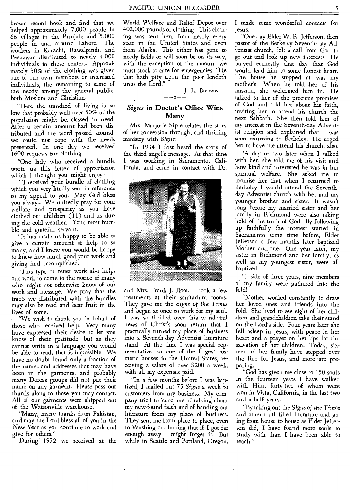brown record book and find that we helped approximately 7,000 people in 66 villages in the Punjab; and 5,000 people in and around Lahore. The workers in Karachi, Rawalpindi, and Peshawar distributed to nearly 4,000 individuals in these centers. Approximately 50% of the clothing was given out to our own members or interested individuals, the remaining to some of the needy among the general public, both Moslem and Christian.

"Here the standard of living is so low that probably well over 50% of the population might be, classed in need. After a certain amount had been distributed and the word passed around, we could not cope with the needs presented. In one day we received 1600 requests for clothing.

"One lady who received a bundle wrote us this letter of appreciation which I thought you might enjoy:

" 'I received your bundle of clothing which you very kindly sent in reference to my appeal to you. May God bless you always. We unitedly pray for your welfare and prosperity as you have clothed our children (11) and us during the cold weather.—Your most humble and grateful servant.'

"It has made us happy to be able to give a certain amount of help to so many, and I knew you would be happy to know how much good your work and giving had accomplished.

"This type or retter work also helps our work to come to the notice of many who might not otherwise know of our, work and message. We pray that the tracts we distributed with the bundles may also be read and bear fruit in the lives of some.

"We wish to thank you in behalf of those who received help. Very many have expressed their desire to let you know of their gratitude, but as they cannot write in a language you would be able to read, that is impossible. We have no doubt found only a fraction of the names and addresses that may have been in the garments, and probably many Dorcas groups did not put their name on any garment. Please pass our thanks along to those you may contact. All of our garments were shipped out of the Watsonville warehouse.

"Many, many thanks from Pakistan, and may the Lord bless all of you in the New Year as you continue to work and give for others."

During 1952 we received at the

World Welfare and Relief Depot over 402,000 pounds of clothing. This clothing was sent here from nearly every state in the United States and even from Alaska. This either has gone to needy fields or will soon be on its way, with the exception of the amount we must stock to care for emergencies. "He that hath pity upon the poor lendeth unto the Lord."

## J. L. Brown.

#### *Signs* **in Doctor's Office Wins Many**

Mrs. Marjorie Siple relates the story of her conversion through, and thrilling ministry with *Signs:* 

"In 1934 I first heard the story of the third angel's message. At that time I was working in Sacramento, California, and came in contact with Dr.



and Mrs. Frank J. Root. I took a few treatments at their sanitarium rooms. They gave me the *Signs of the Times*  and began at once to work for my soul. I was so thrilled over this wonderful news of Christ's soon return that I practically turned my place of business into a Seventh-day Adventist literature stand. At the time I was special representative for one of the largest cosmetic houses in the United States, receiving a salary of over \$200 a week, with all my expenses paid.

"In a few months before I was baptized, I mailed out 75 *Signs* a week to customers from my business. My company tried to 'cure' me of talking about my new-found faith and of handing out literature from my place of business. They sent me from place to place, even to Washington, hoping that if I got far enough away I might forget it. But while in Seattle and Portland, Oregon,

I made some wonderful contacts for Jesus.

"One day Elder W. R. Jefferson, then pastor of the Berkeley Seventh-day Adventist church, felt a call from God to go out and look up new interests. He prayed earnestly that day that God would lead him to some honest heart. The house he stopped at was my mother's. When he told her of his mission, she welcomed him in. He talked to her of the precious promises of God and told her about his faith, inviting her to attend his church the next Sabbath. She then told him of my interest in the Seventh-day Adventist religion and explained that I was soon returning to Berkeley. He urged her to have me attend his church, also.

"A day or two later when I talked with her, she told me of his visit and how kind and interested he was in her spiritual welfare. She asked me to promise her that when I returned to Berkeley I would attend the Seventhday Adventist church with her and my younger brother and sister. It wasn't long before my married sister and her family in Richmond were also taking hold of the truth of God. By following up faithfully the interest started in Sacramento some time before, Elder Jefferson a few months later baptized Mother and 'me. One year later, my sister in Richmond and her family, as well as my youngest sister, were all baptized.

"Inside of three years, nine members of my family were gathered into the fold!

"Mother worked constantly to draw her loved ones and friends into the fold. She lived to see eight of her children and grandchildren take their stand on the Lord's side. Four years later she fell asleep in Jesus, with peace in her heart and a prayer on her lips for the salvation of her children. Today, sixteen of her family have stepped over the line for Jesus, and more are preparing.

"God has given me close to 150 souls in the fourteen years I have walked with Him, forty-two of whom were won in Vista, California, in the last two and a half years.

"By taking out the *Signs of the Times*  and other truth-filled literature and going from house to house as Elder Jefferson did, I have found more souls to study with than I have been able to teach."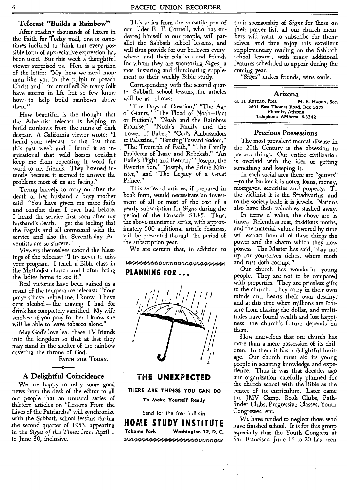#### **Telecast "Builds a Rainbow"**

After reading thousands of letters in the Faith for Today mail, one is sometimes inclined to think that every possible form of appreciative expression has been used. But this week a thoughtful viewer surprised us. Here is a portion of the letter: "My, how we need more men like you in the pulpit to preach Christ and Him crucified! So many folk have storms in life but so few know how to help build rainbows above them."

How beautiful is the thought that the Adventist telecast is helping to build rainbows from the ruins of dark despair. A California viewer wrote: **"I**  heard your telecast for the first time this past week and I found it so inspirational that wild horses couldn't keep me from repeating it word for word to my friends. They listened intently because it seemed to answer the problems most of us are facing."

Trying bravely to carry on after the death of her husband a busy mother said: "You have given me more faith and comfort than I ever had before. I heard the service first soon after my husband's death. I get the feeling that the Fagals and all connected with the service and also the Seventh-day Adventists are so sincere."

Viewers themselves extend the blessings of the telecast: "I try never to miss your program. I teach a Bible class in the Methodist church and **I** often bring the ladies home to see it."

Real victories have been gained as a result of the temperance telecast: "Your prayers have helped me, I know. I have quit alcohol — the craving **I** had for drink has completely vanished. My wife smokes: if you pray for her **I** know she will be able to leave tobacco alone.'

May God's love lead these TV friends into the kingdom so that at last they may stand in the shelter of the rainbow covering the throne of God.

FAITH FOR TODAY.

#### **A Delightful Coincidence**

We are happy to relay some good news from the desk of the editor to all our people that an unusual series of thirteen articles on "Lessons From the Lives of the Patriarchs" will synchronize with the Sabbath school lessons during the second quarter of 1953, appearing in the *Signs of the Times* from April 1 to June 30, inclusive.

This series from the versatile pen of our Elder R. F. Cottrell, who has endeared himself to our people, will parallel the Sabbath school lessons, and will thus provide for our believers everywhere, and their relatives and friends for whom they are sponsoring *Signs,* a most inspiring and illuminating supplement to their weekly Bible study.

Corresponding with the second quarter Sabbath school lessons, , the articles will be as follows:

"The Days of Creation," "The Age of Giants," "The Flood of Noah—Fact or Fiction?," "Noah and the Rainbow Promise," "Noah's Family and the Tower of Babel," "God's Ambassadors to Palestine," "Tenting Toward Sodom," "The Triumph of Faith," "The Family Problems of Isaac and Rebekah," "An Exile's Flight and Return," "Joseph, the Favorite Son," "Joseph, the Prime Minister," and "The Legacy of a Great Prince."

This series of articles, if prepared in book form, would necessitate an investment of all or most of the cost of a yearly subscription for *Signs* during the period of the Crusade—\$1.85. Thus, the above-mentioned series, with approximately 500 additional article features, will be presented through the period of the subscription year.

We are certain that, in addition to

### '••••••••.0••••••••••••••• '•••••••`,.••••••••••••''p i•••..`..• • •'•••••••••••••••••.• •••••..

#### **PLANNING FOR ...**



#### **THE UNEXPECTED**

**THERE ARE THINGS YOU CAN DO To Make Yourself Ready •** 

Send for the free bulletin **HOME STUDY INSTITUTE Takoma Park Washington 12, D. C.**  ;`"`-`4-\*'''\*1;4:444:444:4;•tgr;4:4 -•W

their sponsorship of *Signs* for those on their prayer list, all our church members will want to subscribe for themselves, and thus enjoy this excellent supplementary reading on the Sabbath school lessons, with many additional features scheduled to appear during the coming year.

*"Signs"* makes friends, wins souls.

#### **Arizona**

G. H. AUSTAD, Pres. M. E. **HAGEN,** Sec. 2601 East Thomas Road, Box 5277 Phoenix, Arizona Telephone AMherst 6-3342

#### **Precious Possessions**

The most prevalent mental disease in the 20th Century is the obsession to possess things. Our entire civilization is overlaid with the idea of getting something and keeping it.

In each social area there are "getters" -to the banker it is notes, loans, money, mortgages, securities and property. To the violinist it is the Stradivarius, and to the society belle it is jewels. Nations also have their valuables stashed away.

In terms of value, the above are as tinsel. Relentless rust, insidious moths, and the material values lowered by time will extract from all of these things the power and the charm which they now possess. The Master has said, "Lay not up for yourselves riches, where moth and rust doth corrupt."

Our church has wonderful young people. They are not to be compared with properties. They are priceless gifts to the church. They carry in their own minds and hearts their own destiny, and at this time when millions are footsore from chasing the dollar, and multi-tudes have found wealth and lost happi: ness, the church's future depends on them.

How marvelous that our church has more than a mere possession of its children. In them it has a delightful heritage. Our church must aid its young people in securing knowledge and experience. Thus it was that decades ago our organization carefully planned for the church school with the Bible as the center of its curriculum. Later came the JMV Camp, Book Clubs, Pathfinder Clubs, Progressive Classes, Youth Congresses, etc.

We have tended to neglect those who have finished school. It is for this group especially that the Youth Congress at San Francisco, June 16 to 20 has been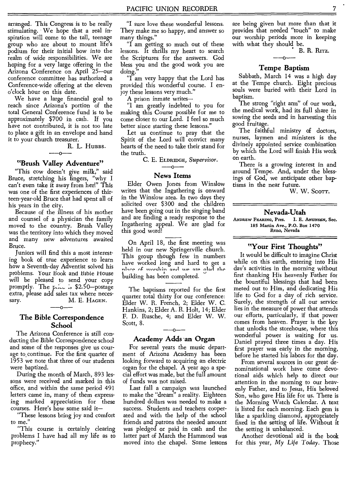arranged. This Congress is to be really stimulating. We hope that a real inspiration will come to the tall, teenage group who are about to mount life's podium for their initial bow into the realm of wide responsibilities. We are hoping for a very large offering in the Arizona Conference on April 25—our conference committee has authorized a Conference-wide offering at the eleven o'clock hour on this date.

We have a large financial goal to reach since Arizona's portion of the total General Conference fund is to be approximately \$700 in cash. If you have not contributed, it is not too late to place a gift in an envelope and hand it to your church treasurer.

> R. L. Hubbs.  $-$ <sup>n.</sup>

#### **"Brush Valley Adventure"**

"This cow doesn't give milk," said Bruce, stretching his fingers, "why I can't even take it away from her!" This was one of the first experiences of thirteen-year-old Bruce that had spent all of his years in the city.

Because of the illness of his mother and counsel of a physician the family moved to the country. Brush Valley was the territory into which they moved and many new adventures awaited Bruce.

Juniors will find this a most interesting book of true experience to learn how a Seventh-day Adventist solved his problems. Your Book and Bible House will be pleased to send your copy promptly. The price is \$2.50-postage extra, please add sales tax where necessary. M. E. HAGEN.

**The Bible Correspondence School** 

The Arizona Conference is still conducting the Bible Correspondence school and some of the responses give us courage to.continue. For the first quarter of 1953 we note that three of our students were baptized.

During the month of March, 893 lessons were received and marked in this office, and within the same period 491 letters came in, many of them expressing marked appreciation for these courses. Here's how some said it—

"These lessons bring joy and comfort to me."

"This course is certainly clearing problems I have had all my life as to prophecy."

"I sure love these wonderful lessons. They make me so happy, and answer so many things."

"I am getting so much out of these lessons. It thrills my heart to search the Scriptures for the answers. God bless you and the good work you are doing.

"I am very happy that the Lord has provided this wonderful course. I enjoy these lessons very much."

A prison inmate writes—

"I am greatly indebted to you for making this Course possible for me to come closer to our Lord. I feel so much better since starting these lessons."

Let us continue to pray that the Spirit of the Lord will convict many hearts of the need to take their stand for the truth.

C. E. ELDRIDGE, *Supervisor. --0--* 

#### **News Items**

Elder Owen Jones from Winslow writes that the Ingathering is onward in the Winslow area. In two days they solicited over \$300 and the children have been going out in the singing band and are finding a ready response to the Ingathering appeal. We are glad for this good word!

On April 18, the first meeting was held in our new Springerville church. This group though few in numbers have worked long and hard to get a place of worship and we are glad the building has been completed.

The baptisms reported for the first quarter total thirty for our conference: Elder W. R. French, 2; Elder W. C. Hankins, 2; Elder A. R. Holt, 14; Elder F. D. Rusche, 4; and Elder W. W. Scott, 8.  $\frac{3}{2}$ 

#### **Academy Adds -an Organ**

For several years the music department of Arizona Academy has been looking forward to acquiring an electric organ for the chapel. A year ago a special effort was made, but the full amount of funds was not raised.

Last fall a campaign was launched to make the "dream" a reality. Eighteen hundred dollars was needed to make a success. Students and teachers cooperated and with the help of the school friends and patrons the needed amount was pledged or paid in cash and the latter part of March the Hammond was moved into the chapel. Some lessons are being given but more than that it provides that needed "touch" to make our worship periods more in keeping with what they should be.

B. R. RITz.

#### **Tempe Baptism**

Sabbath, March 14 was a high day at the Tempe church. Eight precious souls were buried with their Lord in baptism.

The strong "right arm" of our work, the medical work, had its full share in sowing the seeds and in harvesting this good fruitage.

The faithful ministry of doctors, nurses, laymen and ministers is the divinely appointed service combination by which the Lord will finish His work on earth.

There is a growing interest in and around Tempe. And, under the blessings of God, we anticipate other baptisms in the near future.

W. W. SCOTT.

### **Nevada-Utah**

ANDREW FEARING, Pres. I. E. ANUNSEN, Sec. 185 Martin Ave., P.O. Box 1470 Reno, Nevada

#### **"Your First Thoughts"**

It would be difficult to imagine Christ while on this earth, entering into His day's activities in the morning without first thanking His heavenly Father for the bountiful blessings that had been meted out to Him, and dedicating His life to God for a day of rich service. Surely, the strength of all our service lies in the measure of power that attends our efforts, particularly, if that power comes from heaven. Prayer is the key that unlocks the storehouse, where this wonderful power is waiting for us. Daniel prayed three times a day. His first prayer was early in the morning, before he started his labors for the day.

From several sources in our great denominational work have come devotional aids which help to direct our attention in the morning to our heavenly Father, and to Jesus, His beloved Son, who gave His life for us. There is the Morning Watch Calendar. A text is listed for each morning. Each gem is like a sparkling diamond, appropriately fixed in the setting of life. Without it the setting is unbalanced.

Another devotional aid is the book for this year, My Life *Today.* Those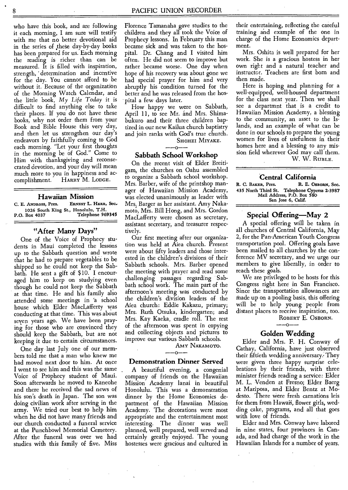who have this book, and are following it each morning, I am sure will testify with me that no better devotional aid in the series of these day-by-day books has been prepared for us. Each morning the reading is richer than can be measured. It is filled with inspiration, strength, determination and incentive for the day. You cannot afford to be without it. Because of the organization of the Morning Watch Calendar, and the little book, *My Life Today* it is difficult to find anything else to take their places. If you do not have these books, why not order them from your Book and Bible House this very day, and then let us strengthen our day's endeavors by faithfully coming to God each morning. "Let your first thoughts in the morning be of God." Come to Him with thanksgiving and reconsecrated devotion, and your day will mean much more to you in happiness and accomplishment. HARRY M. LODGE.

#### **Hawaiian Mission**

C. E. **ANDROSS,** Pres. ERNEST L. Hann, Sec. 1026 South King St., Honolulu, T.H.<br>P.O. Box 4037 Telephone 969 Telephone 969345

#### **"After Many Days"**

One of the Voice of Prophecy students in Maui completed the lessons up to the Sabbath question and wrote that he had to prepare vegetables to be shipped so he could not keep the Sabbath. He sent a gift of \$10. I encouraged him to keep on studying even though he could not keep the Sabbath at that time. He and his family also attended some meetings in 'a school house which Elder MacLafferty was conducting at that time. This was about seven years ago. We have been praying for those who are convinced they should keep the Sabbath, but are not keeping it due to certain circumstances.

One day last July one of our members told me that a man who knew me had moved next door to him. At once I went to see him and this was the same Voice of Prophecy student of Maui. Soon afterwards he moved to Kaneohe and there he received the sad news of his son's death in Japan. The son was doing civilian work after serving in the army. We tried our best to help him when he did not have many friends and our church conducted a funeral service at the Punchbowl Memorial Cemetery. After the funeral was over we had studies with this family of five. Miss Florence Tamanaha gave studies to the children and they all took the Voice of Prophecy lessons. In February this man became sick and was taken to the hospital. Dr. Chang and I visited him often. He did not seem to improve but rather became worse. One day when hope of his recovery was about gone we had special prayer for him and very abruptly his condition turned for the better and he was released from the hospital a few days later.

How happy we were on Sabbath, April 11, to see Mr. and Mrs. Shimabukuro and their three children baptized in our new Kailua church baptistry and join ranks with God's true church.

SHOHEI MIYAKE.

#### $-0$ --**Sabbath School Workshop**

On the recent visit of Elder Breitigam, the churches on Oahu assembled to organize a Sabbath school workshop. Mrs. Barber, wife of the printshop manager of Hawaiian Mission Academy, was elected unanimously as leader with Mrs; Barger as her assistant. Amy Nakamoto, Mrs. Bill Hong, and Mrs. Gordon MacLafferty were chosen as secretary, assistant secretary, and treasurer respectively.

Our first meeting after our organization was held at Aiea church. Present were about fifty leaders and those interested in the children's divisions of their Sabbath schools. Mrs. Barber opened the meeting with prayer and read some challenging passages regarding Sabbath school work. The main part of the afternoon's meeting was conducted by the children's division leaders of the Aiea church: Eddie Kakazu, primary; Mrs. Ruth Otsuka, kindergarten; and Mrs. Kay Kaeka, cradle roll. The rest of the afternoon was spent in copying and collecting objects and pictures to improve our various Sabbath schools.

Amy Nakamoto.<br>---0---

#### **Demonstration Dinner Served**

A beautiful evening, a congenial company of friends on the Hawaiian Mission Academy lanai in beautiful Honolulu. This was a demonstration dinner by the Home Economics department of the Hawaiian Mission Academy. The decorations were most appropriate and the entertainment most interesting. The dinner was well planned, well prepared, well served and certainly greatly enjoyed. The young hostesses were gracious and cultured in their entertaining, reflecting the careful training and example of the one in charge of the Home Economics department.

Mrs. Oshita is well prepared for her work. She is a gracious hostess in her own right and a natural teacher and instructor. Teachers are first born and then made.

Here is hoping and planning for a well-equipped, well-housed department for the class next year. Then we shall see a departmnt that is a credit to Hawaiian Mission Academy, a blessing to the community, an asset to the Islands, and an example of what can be done in our schools to prepare the young women for lives of usefulness in their homes here and a blessing to any mission field wherever God may call them. W. W. RUBLE.

#### **Central California**

R. C. BAKER, Pres. R. E. OSBORN, Sec. 435 North Third St. Telephone Cypress 2-3987 Mail Address, P.O. Box 580 San Jose 6, Calif.

#### **Special Offering—May 2**

A special offering will be taken in all churches of Central California, May 2, for the Pan-American Youth Congress transportation pool. Offering goals have been mailed to all churches by the conference MV secretary, and we urge our members to give liberally, in order to reach these goals.

We are privileged to be hosts for this Congress right here in San Francisco. Since the transportation allowances are made up on a pooling basis, this offering will be to help young people from distant places to receive inspiration, too. ROBERT E. OSBORN.<br>---0---

#### **Golden Wedding**

Elder and Mrs. F. H. Conway of Cathay, California, have just observed their fiftieth wedding anniversary. They were given three happy surprise celebrations by their friends, with three minister friends reading a service: Elder M. L. Venden at Fresno; Elder Baerg at Mariposa, and Elder Bentz at Modesto. There were fresh carnations leis for them from Hawaii, flower girls, wedding cake, programs, and all that goes with love of friends.

Elder and Mrs. Conway have labored in nine states, four provinces in Canada, and had charge of the work in the Hawaiian Islands for a number of years.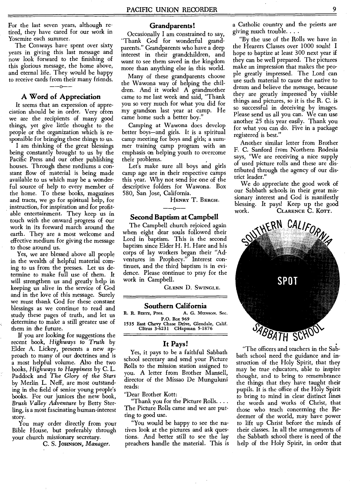For the last seven years, although retired, they have cared for our work in Yosemite each summer.

The Conways have spent over sixty years in giving this last message and now look forward to the finishing of this glorious message, the home above, and eternal life. They would be happy to receive cards from their many friends. --o--

#### **A Word of Appreciation**

It seems that an expression of appreciation should be in order. Very often we are the recipients of many good things, yet give little thought to the people or the organization which is responsible for bringing these things to us.

I am thinking of the great blessings being constantly brought to us by the Pacific Press and our other publishing houses. Through these mediums a constant flow of material is being made available to us which may be a wonderful source of help to every member of the home. To these books, magazines and tracts, we go for spiritual help, for instruction, for inspiration and for profitable entertainment. They keep us in touch with the onward progress of our work in its forward march around the earth. They are a most welcome and effective medium for giving the message to those around us.

Yes, we are blessed above all people in the wealth of helpful material coming to us from the presses. Let us determine to make full use of them. It will strengthen us and greatly help in keeping us alive in the service of God and in the love of this message. Surely we must thank God for these constant blessings as we continue to read and study these pages of truth, and let us determine to make a still greater use of them in the future.

If you are looking for suggestions the recent book, *Highways to* Truth by Elder A. Lickey, presents a new approach to many of our doctrines and is a most helpful volume. Also the two books, *Highways to Happiness* by C. L. Paddock and *The Glory of the Stars*  by Merlin L. Neff, are most outstanding in the field of senior young people's books. For our juniors the new book, *Brush Valley Adventure* by Betty Sterling, is a most fascinating human-interest story.

You may order directly from your Bible House, but preferably through your church missionary secretary.

C. S. JoHNsoN, *Manager.* 

#### **Grandparents!**

Occasionally I am constrained to say, "Thank God for wonderful grandparents." Grandparents who have a deep interest in their grandchildren, and want to see them saved in the kingdom more than anything else in this world.

Many of these grandparents choose the Wawona way of helping the children. And it works! A grandmother came to me last week and said, "Thank you so very much for what you did for my grandson last year at camp. He came home such a better boy."

Camping at Wawona does develop better boys—and girls. It is a spiritual camp meeting for boys and girls; a summer training camp program with an emphasis on helping youth to overcome their problems.

Let's make sure all boys and girls camp age are in their respective camps this year. Why not send for one of the descriptive folders for Wawona. Box 580, San Jose, California.

Henry T. Bergh.<br>——0——

#### **Second Baptism at Campbell**

The Campbell church rejoiced again when eight dear souls followed their Lord in baptism. This is the second baptism since Elder H. H. Hare and his corps of lay workers began their "Adventures in Prophecy." Interest continues, and the third baptism is in evidence. Please continue to pray for the work in Campbell.

GLENN D. SWINGLE.

**Southern California**<br>**R. R. BIETZ, Pres.** A. G. Mus A. G. Munson. Sec. P.O. Box 969 1535 East Chevy Chase Drive, Glendale, Calif. Citrus 3-6231 CHapman 5-1876

#### **It Pays!**

Yes, it pays to be a faithful Sabbath school secretary and send your Picture Rolls to the mission station assigned to you. A letter from Brother Mansell, director of the Missao De Munguluni reads:

"Dear Brother Kott:

"Thank you for the Picture Rolls... . The Picture Rolls came and we are putting to good use.

"You would be happy to see the natives look at the pictures and ask questions. And better still to see the lay preachers handle the material. This is

a Catholic country and the priests are giving much trouble. . . .

"By the use of the Rolls we have in the Hearers Classes over 1000 souls! I hope to baptize at least 300 next year if they can be well prepared. The pictures make an impression that makes the people greatly impressed. The Lord can use such material to cause the native to dream and believe the message, because they are greatly impressed by visible things and pictures, so it is the R. C. is so successful in deceiving by images. Please send us all you can. We can use another 25 this year easily. Thank you for what you can do. Five in a package registered is best."

Another similar letter from Brother F. C. Sanford from Northern Rodesia says, "We are receiving a nice supply of used picture rolls and these are distributed through the agency of our district leader."

We do appreciate the good work of our Sabbath schools in their great missionary interest and God is manifestly blessing. It pays! Keep up the good work. CLARENCE C. KOTT.



"The officers and teachers in the Sabbath school need the guidance and instruction of the Holy Spirit, that they may be true educators, able to inspire thought, and to bring to remembrance the things that they have taught their pupils. It is the office of the Holy Spirit to bring to mind in clear distinct lines the words and works of Christ, that those who teach concerning the Redeemer of the world, may have power to lift up Christ before the minds of their classes. In all the arrangements of the Sabbath school there is need of the help of the Holy Spirit, in order that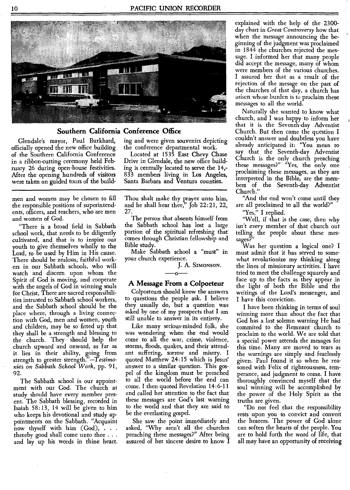

#### **Southern California Conference Office**

Glendale's mayor, Paul Burkhard, officially opened the new office building of the Southern California Conference in a ribbon-cutting ceremony held February 26 during open-house festivities. After the opening hundreds of visitors were taken on guided tours of the build-

men and women may be chosen to fill the responsible positions of superintendents, officers, and teachers, who are men and women of God.

"There is a broad field in Sabbath school work, that needs to be diligently cultivated, and that is to inspire our youth to give themselves wholly to the Lord, to be used by Him in His cause. There should be zealous, faithful workers in our Sabbath schools, who will watch and discern upon whom the Spirit of God is moving, and cooperate with the angels of God in winning souls for Christ, There are sacred responsibilities intrusted to Sabbath school workers, and the Sabbath school should be the place where, through a living connection with God, men and women, youth and children, may be so fitted up that they shall be a strength and blessing to the church. They should help the church upward and onward, as far as it lies in their ability, going from strength to greater strength.*'—Testimonies on Sabbath School* Work, pp. 91, 92.

The Sabbath school is our appointment with our God. The church at study should have every member present. The Sabbath blessing, recorded in Isaiah 58:13, 14 will be given to him who keeps his devotional and study appointments on the Sabbath. "Acquaint now thyself with him  $(God)$ ,  $\ldots$ thereby good shall come unto thee . . . and lay up his words in thine heart. ing and were given souvenirs depicting the conference departmental work.

Located at 1535 East Chevy Chase Drive in Glendale, the new office building is centrally located to serve the 14,- 833 members living in Los Angeles, Santa Barbara and Ventura counties.

Thou shalt make thy prayer unto him, and he shall hear thee," Job 22:21, 22, 27.

The person that absents himself from the Sabbath school has lost a large portion of the spiritual refreshing that comes through Christian fellowship and Bible study.

Make Sabbath school a "must" in your church experience.

J. A. Simonson.<br>——o——

#### **A Message From a Colporteur**

Colporteurs should know the answers to questions the people ask. I believe they usually do, but a question was asked by one of my prospects that I am still unable to answer in its entirety.

Like many serious-minded folk, she was wondering when the end would come to all the war, crime, violence, storms, floods, quakes, and their attendant suffering, sorrow and misery. I quoted Matthew 24:15 which is Jesus' answer to a similar question. This gospel of the kingdom must be preached to all the world before the end can come. I then quoted Revelation 14:6-11 and called her attention to the fact that these messages are God's last warning to the world and that they are said to be the everlasting gospel.

She saw the point immediately and asked, "Why aren't all the churches preaching these messages?" After being assured of her sincere desire to know **I** 

explained with the help of the 2300 day chart in *Great Controversy* how that when the message announcing the beginning of the judgment was proclaimed in 1844 the churches rejected the message. I informed her that many people did accept the message, many of whom were members of the various churches. I assured her that as a result of the rejection of the mesage on the part of the churches of that day, a church has arisen whose burden is to proclaim these messages to all the world.

Naturally she wanted to know what church, and I was happy to inform her that it is the Seventh-day Adventist Church. But then came the question I couldn't answer and doubtless you have already anticipated it: "You mean to say that the Seventh-day Adventist Church is the only church preaching these messages?" "Yes, the only one proclaiming these messages, as they are interpreted in the Bible, are the members of the Seventh-day Adventist Church."

"And the end won't come until they are all proclaimed to all the world?"

"Yes," I replied.

"Well, if that is the case, then why isn't *every* member of that church out telling the people about these messages?"

Was her question a logical one? I must admit that it has served to somewhat revolutionize my thinking along the lines of missionary activities. I have tried to meet the challenge squarely and face up to the facts as they appear in the light of both the Bible and the writings of the Lord's messenger, and I have this conviction.

I have been thinking in terms of soul winning more than about the fact that God has a last solemn warning He had commited to the Remnant church to proclaim to the world. We are told that a special power attends the mesages for this time. Many are moved to tears as the warnings are simply and fearlessly given. Paul found it so when he reasoned with Felix of righteousness, temperance, and judgment to come. I have thoroughly convinced myself that the soul winning will be accomplished by the power of the Holy Spirit as the truths are given.

"Do not feel that the responsibility rests upon you to convict and convert the hearers. The power of God alone can soften the hearts of the people. You are to hold forth the word of life, that all may have an opportunity of receiving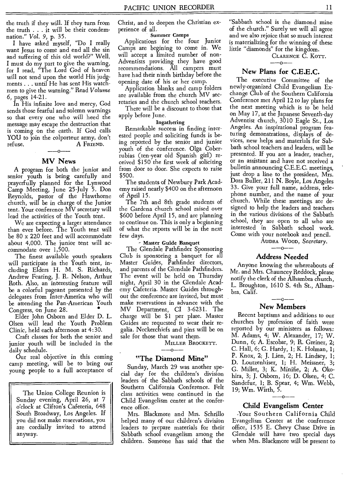the truth if they will. If they turn from the truth . . . it will be their condemnation." *Vol. 9,* p. 35.

I have asked myself, "Do I really want Jesus to come and end all the sin and suffering of this old world?" Well, I must do my part to give the warning, for I read, "The Lord God of heaven will not send upon the world His judgments . . . until He has sent His watchmen to give the warning." Read *Volume*  6, pages 14-21.

In His infinite love and mercy, God sends those fearful and solemn warnings so that every one who will heed the message may escape the destruction that is coming on the earth. If God calls YOU to join the colporteur army, don't refuse. A FRIEND.

#### **MV News**

A program for both the junior and senior youth is being carefully and prayerfully planned for the Lynwood Camp Meeting, June 25-July 5. Don Reynolds, pastor of the Hawthorne church, will be in charge of the Junior tent. Your conference MV secretary will lead the activities of the Youth tent.

We are expecting a larger attendance than ever before. The Youth tent will be 80 x 220 feet and will accommodate about 4,000. The junior tent will accommodate over 1,500.

The finest available youth speakers will participate in the Youth tent, including Elders H. M. S. Richards, Andrew Fearing, J. R. Nelson, Arthur Roth. Also, an interesting feature will be a colorful pageant presented by the delegates from Inter-America who will be attending the Pan-American Youth • Congress, on June 28.

Elder John Osborn and Elder D. L. Olsen will lead the Youth Problem Clinic, held each afternoon at 4:30.

Craft classes for both the senior and junior youth will be included in the daily schedule.

Our real objective in this coming camp meeting, will be to bring our young people to a full acceptance of

The Union College Reunion is Sunday evening, April 26, at 7 o'clock at Clifton's Cafeteria, 648 South Broadway, Los Angeles. If you did not make reservations, you are cordially invited to attend anyway.

Christ, and to deepen the Christian experience of all.

#### Summer Camps

Applications for the four Junior Camps are begining to come in. We will accept a limited number of non-Adventists providing they have good recommendations. All campers must have had their ninth birthday before the opening date of his or her camp.

Application blanks and camp folders are available from the church MV secretaries and the church school teachers.

There will be a discount to those that apply before June.

#### Ingathering

Remarkable success in finding interested people and soliciting funds is being reported by the senior and junior youth of the conference. Olga Coberrubias (ten-year old Spanish girl) received \$150 the first week of soliciting from door to door. She expects to raise \$500.

The students of Newbury Park Academy raised nearly \$400 on the afternoon of April 15.

The 7th and 8th grade students of the Gardena church school raised over \$600 before April 15, and are planning to continue on. This is only a beginning of what the reports will be in the next few days.

#### - Master Guide Banquet

The Glendale Pathfinder Sponsoring Club is sponsoring a banquet for all Master Guides, Pathfinder directors, and parents of the Glendale Pathfinders. The event will be held on Thursday night, April 30 in the Glendale Academy Cafeteria. Master Guides throughout the conference are invited, but must make reservations in advance with the MV Department, CI 3-6231. The charge will be \$1 per plate. Master Guides are requested to wear their regalia. Neckerchiefs and pins will be on sale for those that want them.

MILLER BROCKETT.

 $-$ --0 $-$ 

#### **"The Diamond Mine"**

Sunday, March 29 was another special day for the children's division leaders of the Sabbath schools of the Southern California Conference. Felt class activities were continued in the Child Evangelism center at the conference office.

Mrs. Blackmore and Mrs. Schrillo helped many of our children's division leaders to prepare materials for their Sabbath school evangelism among the children. Someone has said that the

"Sabbath school is the diamond mine of the church." Surely we will all agree and we also rejoice that so much interest is materializing for the winning of these little "diamonds" for the kingdom.

CLARENCE C. KOTT.  $- -0 - -$ 

#### **New Plans for C.E.E.C.**

The executive Committee of the newly-organized Child Evangelism Exchange Club of the Southern California Conference met April 12 to lay plans for the next meeting which is to be held on May 17, at the Japanese Seventh-day Adventist church, 3010 Eagle St., Los Angeles. An inspirational program featuring demonstrations, displays of devices, new helps and materials for Sabbath school teachers and leaders, will be presented. If you are a leader, teacher, or an assistant and have not received a bulletin announcing C.E.E.C. meetings, just drop a line to the president, Mrs. Dora Buller, 211 N. Boyle, Los Angeles 33. Give your full name, address, telephone number, and the name of your church. While these meetings are designed to help the leaders and teachers in the various divisions of the Sabbath school, they are open to all who are interested in Sabbath school work. Come with your notebook and pencil.

AUDRA WOOD, *Secretary. --0--* 

### **Address Needed**

Anyone knowing the whereabouts of Mr. and Mrs. Chauncey Reddock, please notify the clerk of the Alhambra church, L. Broughton, 1610 S. 4th St., Alhambra, Calif.

#### $--0--$ **New Members**

Recent baptisms and additions to our churches by profession of faith were reported by our ministers as follows: M. Adams, 4; W. Alexander, 17; W. Dunn, 6; A. Escobar, 9; R. Greiner, 2; C. Hall, 6; G. Hardy, 1; K. Holman, 1; P. Knox, 2; J. Lien, 2; H. Lindsey, 1; D. Loutzenhiser, 1; H. Meissner, 3; G. Millet, 3; K. Minifie, 2; A. Okohira, 3; J. Osborn, 16; D. Olsen, 4; C. Sandefur, 1; B. Spear, 4; Wm. Webb, 19; Wm. Wirth, 5.

 $-0-$ 

#### **Child Evangelism Center**

.Your Southern California Child Evangelism Center at the conference office, 1535 E. Chevy Chase Drive in Glendale will have two special days when Mrs. Blackmore will be present to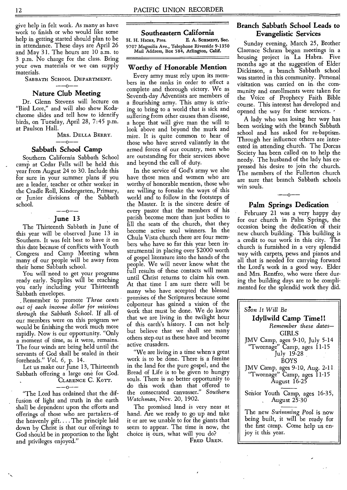give help in felt work. As many as have work to finish or who would like some help in getting started should plan to be in attendance. These days are April 26 and May 31. The hours are 10 a.m. to 3 p.m. No charge for the class. Bring your own materials or we can supply materials.

SABBATH SCHOOL DEPARTMENT. --0--

#### **Nature Club Meeting**

Dr. Glenn Stevens will lecture on "Bird Lore," and will also show Kodachrome slides and tell how to identify birds, on Tuesday, April 28, 7:45 p.m. at Paulson Hall.

## Mrs. Della Berry.<br>——0——

#### **Sabbath School Camp**

Southern California Sabbath School camp at Cedar Falls will be held this year from August 24 to 30. Include this for sure in your summer plans if you are a leader, teacher or other worker in the Cradle Roll, Kindergarten, Primary, or Junior divisions of the Sabbath school.

#### $---o---$ **June 13**

The Thirteenth Sabbath in June of this year will be observed June 13 in Southern. It was felt best to have it on this date because of conflicts with Youth Congress and Camp Meeting when many of our people will be away from their home Sabbath school.

You will need to get your programs ready early. Supplies will be reaching you early including your Thirteenth Sabbath envelopes.

Remember to promote *Three cents out of each income dollar for missions through the Sabbath School.* If all. of our members were on this program we would be finishing the work much more rapidly. Now is our opportunity. "Only a moment of time, as it were, remains. The four winds are being held until the servants of God shall be sealed in their foreheads." *Vol. 6,* p. 14.

Let us make our June 13, Thirteenth Sabbath offering a large one for God.

## CLARENCE C. KOTT.<br>-----

"The Lord has ordained that the diffusion of light and truth in the earth shall be dependent upon the efforts and offerings of those who are partakers-of the heavenly gift.... The principle laid down by Christ is that our offerings to God should be in proportion to the light and privileges enjoyed."

#### **Southeastern California**

H. H. HICKS, Pres. E. A. SCHMIDT, Sec. 9707 Magnolia Ave., Telephone Riverside 9-1350 Mail Address, Box 584, Arlington, Calif.

#### **Worthy of Honorable Mention**

Every army must rely upon its members in the ranks in order to effect a complete and thorough victory. We as Seventh-day Adventists are members of a flourishing army. This army is striving to bring to a world that is sick and suffering from other causes than disease, a hope that will give man the will to look above and beyond the murk and mire. It is quite common to hear of those who have served valiantly in the armed forces of our country, men who are outstanding for their services above and beyond the call of duty.

In the service of God's army we also have those men and women who are worthy of honorable mention, those who are willing to forsake the ways of this world and to follow in the footsteps of the Master. It is the sincere desire of every pastor that the members of his parish become more than just bodies to fill the seats of the church, that they become active soul winners. In the Chula Vista church there are four members who have so far this year been instrumental in placing over \$2000 worth of gospel literature into the hands of the people. We will never know what the full results of these contacts will mean until Christ returns to claim his own. At that time I am sure there will be many who have accepted the blessed promises of the Scriptures because some colporteur has gained a vision of the work that must be done. We do know that we are living in the twilight hour of this earth's history. I can not help but believe that we shall see many others step,out as these have and become active crusaders.

"We are living in a time when•a great work is to be done. There is a famine in the land for the pure gospel, and the Bread of Life is to be given to hungry souls. There is no better opportunity to do this work than that offered to the consecrated canvasser." *Southern Watchman,* Nov. 20, 1902.

The promised land is very near at hand. Are we ready to go up and take it or are we unable to for the giants that seem to appear. The time is now, the choice is ours, what will you do? FRED UREN.

#### **Branch Sabbath School Leads to Evangelistic Services**

Sunday evening, March 25, Brother Clarence Schram began meetings in a housing project in La Habra. Five months ago at the suggestion of Elder Dickinson, a branch Sabbath school was started in this community. Personal visitation was carried on in• the community and enrollments were taken for the Voice of Prophecy Faith Bible course. This interest has developed and opened the way for these services. •

A lady who was losing her way has been working with the branch Sabbath school and has asked for re-baptism. Through her influence others are interested in attending church. The Dorcas Society has been called on to help the needy. The husband of the lady has expressed his desire to join the church. The members of the Fullerton church are sure that branch Sabbath schools win souls.

### $-0-$ **Palm Springs Dedication**

February 21 was a very happy day for our church in Palm Springs, the occasion being the dedication of their new church building. This building is a credit to our work in this city. The church is furnished in a very splendid way with carpets, pews and pianos and all that is needed for carrying forward the Lord's work in a good way. Elder and Mrs. Rentfro, who were there during the building days are to be complimented for the splendid work they did.

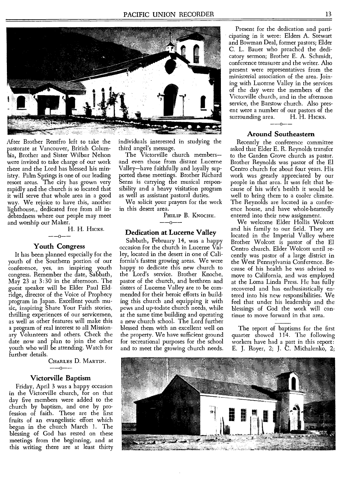

After Brother Rentfro left to take the pastorate at Vancouver, British Columbia, Brother and Sister Wilbur Nelson were invited to take charge of our work there and the Lord has blessed his ministry. Palm Springs is one of our leading resort areas. The city has grown very rapidly and the church is so located that it will serve that whole area in a good way. We rejoice to have this, another lighthouse,, dedicated free from all indebtedness where our people may meet and worship our Maker.

> H. H. HICKS. --O--

#### **Youth Congress**

It has been planned especially for the youth of the Southern portion of our conference, yes, an inspiring youth congress. Remember the date, Sabbath, May 23 at 3:30 in the afternoon. The guest speaker will be Elder Paul Eldridge, director of the Voice of Prophecy program in Japan. Excellent youth music, inspiring Share Your Faith stories, thrilling experiences of our servicemen, as well as other features will make this a program of real interest to all Missionary Volunteers and others. Check the date now and plan to join the other youth who will be attending. Watch for further details.

Charles D. Martin.<br>——0——

#### **Victorville Baptism**

Friday, April 3 was a happy occasion in the Victorville church, for on that day five members were added to the church by baptism, and one by profession of faith. These are the first fruits of an evangelistic effort which began in the church March 1. The blessing of God has rested on these meetings from the beginning, and at this writing there are at least thirty

individuals interested in studying the third angel's message.

The Victorville church members and even those from distant Lucerne Valley—have faithfully and loyally supported these meetings. Brother Richard Serns is carrying the musical responsibility and a heavy visitation program as well as assistant pastoral duties.

We solicit your prayers for the work in this desert area.

> PHILIP B. KNOCHE.  $-0-$

#### **Dedication at. Lucerne Valley**

Sabbath, February 14, was a happy occasion for the church in Lucerne Valley, located in the desert in one of California's fastest growing areas. We were happy to dedicate this new church to the Lord's service. Brother Knoche, pastor of the church, and brethren and sisters of Lucerne Valley are to be commended for their heroic efforts in building this church and equipping it with pews and up-todate church needs, while at the same time building and operating a new church school. The Lord further blessed them with an excellent well on the property. We have sufficient ground for recreational purposes for the school and to meet the growing church needs.

Present for the dedication and participating in it were: Elders A. Stewart and Bowman Deal, former pastors; Elder C. L. Bauer who preached the dedicatory sermon; Brother E. A. Schmidt, conference treasurer and the writer. Also present were representatives from the ministerial association of the area. Joining with Lucerne Valley in the services of the day were the members of the Victorville church, and in the afternoon service, the Barstow church. Also present were a number of our pastors of the<br>surrounding area. H. H. Hicks. surrounding area. --0--

#### **Around Southeastern**

Recently the conference committee asked that Elder E. R. Reynolds transfer to the Garden Grove church as pastor. Brother Reynolds was pastor of the El Centro church for about four years. His work was greatly appreciated by our people in that area. It was felt that because of his wife's health it would be well to bring them to a cooler climate. The Reynolds are located in a conference house, and have whole-heartedly entered into their new assignment.

We welcome Elder Hollis Wolcott and his family to our field. They are located in the Imperial Valley where Brother Wolcott is pastor of the El Centro church. Elder Wolcott until recently was pastor of a large district in the West Pennsylvania Conference. Because of his health he was advised to move to California, and was employed at the Loma Linda Press. He has fully recovered and has enthusiastically entered into his new responsibilities. We feel that under his leadership and the blessings of God the work will continue to move forward in that area.

The report of baptisms for the first quarter showed 114. The following workers have had a part in this report: E. J. Royer, 2; J. C. Michalenko, 2;

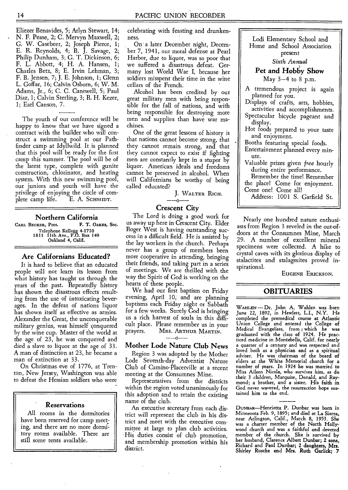Eliezer Benavides, 5; Arlyn Stewart, 14; N. F. Pease, 2; C. Mervyn Maxwell, 2; G. W. Casebeer, 2; Joseph Pierce, 1; E. R. Reynolds, 4; B. J. Savage, 2; Philip Dunham, 3; G. T. Dickinson, 6; F. L. Abbott, 4; H. A. Hansen, 1; Charles Betz, 8; E. Irvin Lehman, 3; F. B. Jensen, 7; J. E. Johnson, 1; Glenn L. Goffar, 16; Calvin Osborn, 6; W. M. Adams, Jr., 6; C. C. Cantwell, 5; Paul Diaz, 1; Calvin Sterling, 3; R. H. Kezer, 1; Earl Canson, 7.

The youth of our conference will be happy to know that we have signed a contract with the builder who will construct a swimming pool at our Pathfinder camp at Idyllwild. It is planned that this pool will be ready for the first camp this summer. The pool will be of the latest type, complete with gunite construction, chlorinator, and heating system. With this new swimming pool, our juniors and youth will have the privilege of enjoying the circle of complete camp life. E. A. SCHMIDT.

**Northern California**  CARL BECKER, Pres. Telephone Kellogg 4-1710 1811 11th Ave., P.O. Box 149 Oakland 4, Calif.

#### **Are Californians Educated?**

It is hard to believe that an educated people will not learn its lesson from what history has taught us through the years of the past. Repeatedly history has shown the disastrous effects resulting from the use of intoxicating beverages. In the defeat of nations liquor has shown itself as effective as armies. Alexander the Great, the unconquerable military genius, was himself conquered by the wine cup. Master of the world at the age of 23, he was conquered and died a slave to liquor at the age of 33. A man of distinction at 23, he became a man of extinction at 33.

On Christmas eve of 1776, at Trenton, New Jersey, Washington was able to defeat the Hessian soldiers who were

#### **Reservations**

All rooms in the dormitories have been reserved for camp meeting, and there are no more dormitory rooms available. There are still some tents available.

celebrating with feasting and drunkenness.

On a later December night, December 7, 1941, our moral defense at Pearl Harbor, due to liquor, was so poor that we suffered a disastrous defeat. Germany lost World War I, because her soldiers misspent their time in the wine cellars of the French.

Alcohol has been credited by our great military men with being responsible for the fall of nations, and with being responsible for destroying more men and supplies than have war machines.

One of the great lessons of history is that nations cannot become strong, that they cannot remain strong, and that they cannot expect to. exist if fighting men are constantly kept in a stupor by liquor. American ideals and freedoms cannot be preserved in alcohol. When will Californians be worthy of being called educated?

J. WALTER RICH.

#### **Crescent City**

The Lord is doing a good work for us away up here in Crescent City. Elder Roger West is having outstanding success in a difficult field. He is assisted by the lay workers in the church. Perhaps never has a group of members been more cooperative in attending, bringing their friends, and taking part in a series of meetings. We are thrilled with the way the Spirit of God is working on the hearts of these people.

We had our first baptism on Friday evening, April 10; and are planning baptisms each Friday night or Sabbath for a few weeks. Surely God is bringing us a rich harvest of souls in this difficult place. Please remember us in your<br>prayers. Mrs. Arrnur Marrny. prayers. MRS. ARTHUR MARTIN. --0--

#### **Mother Lode Nature Club News**

Region 3 was adopted by the Mother Lode Seventh-day Adventist Nature Club of Camino-Placerville at a recent meeting at the Consumnes Mine.

Representatives from the districts within the region voted unanimously for this adoption and to retain the existing name of the club.

An executive secretary from each district will represent the club in his district and meet with the executive committee at large to plan club activities. • His duties consist of club promotion, and membership promotion within his district.

Lodi Elementary School and Home and School Association present

#### *Sixth Annual*

#### **Pet and Hobby Show**

May 3-4 to 8 p.m.

A tremendous project is again planned for you.

Displays of crafts, arts, hobbies, activities and accomplishments.

Spectacular bicycle pageant and display.

Hot foods prepared to your taste and enjoyment.

Booths featuring special foods.

Entertainment planned every minute.

Valuable prizes given *free* hourly during entire performance.

Remember the time! Remember the place! Come for enjoyment. Come one! Come all!

Address: 1001 S. Garfield St.

Nearly one hundred nature enthusiasts from Region 3 reveled in the out-ofdoors at the Consumnes Mine, March 29. A number of excellent mineral specimens were collected. A hike to crystal caves with its glorious display of stalactites and stalagmites proved inspirational.

EUGENE ERICKSON.

#### **OBITUARIES**

**WAHLEN** — Dr. John A. Wahlen was .born June 22, 1892, in Hewlett, L.I., N.Y. He completed the premedical course at Atlantic Union College and entered the College of Medical Evangelists, from which he was graduated with the class of 1924. He prac-ticed medicine in Montebello, Calif. for nearly a quarter of a century and *was* respected and loved both as a physician and as a spiritual adviser. He was chairman of the board of elders at the White Memorial church for a number of years. In 1924 he was married to Miss Aileen Nicola, who survives him, as do their 3 children, Marquise, Donald, and Raymond; a brother, and a sister. His **faith in**  God never wavered, the resurrection hope sustained him to the end.

Dur.nAR—Henrietta **P. Dunbar** was born in Minnesota Feb. 9, 1895; and died at La Sierra, near Arlington, Calif., March 8, 1953. She was a charter member of the North Hollywood church and was a faithful and devoted member of the church. She is survived by her husband, Clarence **Albert Dunbar; 2** sons, Richard and **Paul Dunbar; 2 daughters, Mrs. Shirley Rusche and Mrs. Ruth Garlick; 7**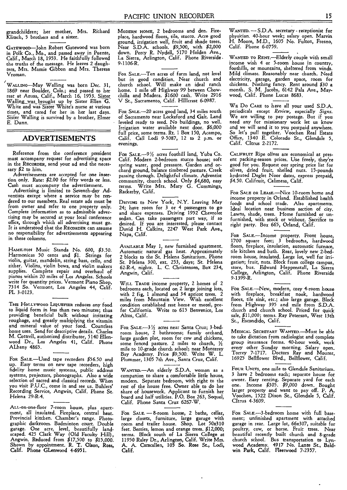grandchildren; her mother, Mrs. Richard Klitsch, 5 brothers and a sister.

GATEwoon—John Robert Gatewood was born in Polk Co., Mo., and passed away in Puente, Calif., March 18, 1953. He faithfully followed the truths of the message. He leaves 2 daughters, Mrs. Mamie Gibbon and Mrs. Theresa Vroman.

WALLING—May Walling was born Dec. 31, 1869 near Boulder, Colo.; and passed to her rest at Azusa, Calif., March 16, 1953. Sister Walling was brought up by Sister Ellen G. White and was Sister White's nurse at various times, and cared for her in her last days. Sister Walling is survived by a brother, Elmer E. Dunn.

#### **ADVERTISEMENTS**

Reference from the conference president must accompany request for advertising space in the **RECORDER,** send your ad and the necessary \$2 to him.

Advertisements are accepted for one insertion only. Rate: \$2.00 for fifty words or less. Cash must accompany the advertisement.

Advertising is limited to Seventh-day Adventists except where a service may be rendered to our members. Real estate ads must be from owner and refer to one property only. Complete information as to admissible advertising may be secured at your local conference office, through which all advertising must go. It is understood that the **RECORDER** can assume no responsibility for advertisements appearing in these columns.

**HAMILTON** Music Stands No. 600, \$3.50. Harmonicas 50 cents and \$1. Strings for violin, guitar, mandolin, string bass, cello, and zither. Violins, violin bows, and violin makers supplies. Complete repair and overhaul of pianos within 20 miles of Los Angeles. Schools write for quantity prices. Vermont Piano Shop, 7314 So. Vermont, Los Angeles 44, Calif. PL 3-0123.

THE **HOLLYWOOD LIQUEFIER** reduces any food to liquid form in less than two minutes; thus providing beneficial bulk without irritating roughage, and greatly multiplying the vitamin and mineral value of your food. Countless home uses. Send for descriptive details. Charles M. Cottrell, authorized distributor, 5140 Ellenwood Dr., Los Angeles 41, Calif. Phone ALbany 4865.

**FOR SALE—Used** tape recorders \$56.50 and up. Easy terms on new tape recorders, high fidelity home music systems, public address systems, projectors, phonographs. Also a wide selection of sacred and classical records. When you visit P.U.C., come in and see us. Buhlers' Recording Service, Angwin, Calif. Phone St. Helena 29-R-4.

ALL-on-one-floor 7-room house, plus apartment, all insulated. Fireplace, central heat. Provincial kitchen. Chamber's range. Photographic darkroom. Badminton court. Double garage. One acre, level, beautifully land-scaped. 425 Clark Way (Old Faculty Hill), Angwin. Reduced from \$17,500 to \$15,000. **Shown by appointment. R. T. Olson, Ross, Calif. Phone GLenwood 4-6951.** 

**MODERN NOME, 2** bedrooms and den. Fireplace, hardwood floors, tile, stucco. Acre good ground, irrigation well, fruit and shade trees. Near S.D.A. schools. \$9,500, with \$2,000 down. Percy R. Nydell, 5170 Holden Ave., La Sierra, Arlington, Calif. Phone Riverside . 9-1106-R.

**FOR** SALE.—Ten acres of farm land, not level but in good condition. Near church and church school. Will make an ideal ranch home. 1 mile off Highway 99 between Chowchilla and Madera. \$1600 cash. Write 2916 V St., Sacramento, Calif. HIllcrest 6-0987.

**FOR SALE.-20** acres good land, 34 miles south of Sacramento near Lockeford and Galt. Land leveled ready to seed. No buildings, no well. Irrigation water available next door. \$6,000 full price, some terms. Rt. 1 Box 150, Acampo, Calif. Call Lodi 9-5087, 12 to 2 p.m. or evenings.

**FOR SALE.-9** 1/2acres foothill land, Yuba Co. Calif. Modern 2-bedroom stucco house; soft spring water, good pressure. Garden and or-chard ground, balance timbered pasture. Creek passing through. Delightful climate. Adventist community, church school. Only \$4,680, easy terms. Write Mrs. Mary G. Cummings, Rackerby, Calif.

**DRIVING** to New York, N.Y. Leaving May 24; have room for 3 or 4 passengers **to go**  and share expenses. Driving 1952 Chevrolet sedan. Can take passengers part way, if so desired. If you are interested, please contact David H. Calkins, 2247 West Park Ave., Napa, Calif.

**AVAILABLE** May 1, new furnished apartment. Automatic natural gas heat. Approximately 2 blocks to the St. Helena Sanitarium. Phone St. Helena 300, ext. 253, days; St. Helena 62-R-4, nights. L. C. Christensen, Box 234, Angwin, Calif.

**WILL TRADE** income property, 2 homes of 2 bedrooms each, located on 2 large joining lots, with 2 fig, **1** almond and 34 apricot trees. 2 miles from Mountain View. Wish excellent condition established rest home or motel, prefer California. Write to 615 Benvenice, Los Altos, Calif.

**FOR SALE.-3** 1/2acres near Santa Cruz; 3-bed-room house, 2 bathrooms; family orchard, large garden plot, room for cow and chickens, some fenced pasture. 2 miles to church,  $\frac{1}{2}$ mile to 10-grade church school; near Monterey Bay Academy. Price \$9,500. Write W. L. Plummer, 1305 7th Ave., Santa Cruz, Calif.

WANTED.-An elderly S.D.A. woman as a companion to share a comfortable little house, modern. Separate bedroom, with right to the rest of the house free. Owner able to do her share of housework. Applicant to furnish her board and half utilities. P.O. Box 263, Soquel, Calif. Phone Santa Cruz 6267-W.

**FOR SALE. — 8-room** house, 2 baths, cellar, large closets, furniture, large garage with room and trailer house. Shop. Lot 50x310 feet. Berries, lemon and orange trees. \$12,000; terms. **Block south of La Sierra College at 11950 Raley Dr., Arlington, Calif. Write Mrs. A. A. Carscallen, 105 So. Rose St., Lodi, Calif.** 

**WANTED. —** S.D.A. secretary - receptionist for physician. 40-hour week; salary open. Marvin H. Moore, M.D., 1605 No. Fulton, Fresno, Calif. Phone **6-0759.** 

**WANTED TO RENT.—Elderly** couple with small income wish 4 or 5-room house in country, foothills, or mountains, sheltered from winds. Mild climate. Reasonably near church. Need electricity, garage, garden space, room for chickens. Nothing fancy. Rent around \$30 a month. S. M. Jacobs, 6142 Pala Ave., Maywood, Calif. Phone Lucas 8683.

WE Do **CARE** to have all your used S.D.A. periodicals except *Review,* especially *Signs.*  We are willing to pay postage. But if you need any for missionary work let us know and we will send it to you postpaid anywhere. So let's pull together. Voochen Real Estate Office, 1340 E. Colorado St., Glendale 5, Calif. Citrus 2-2172.

**CALIFRUIT** Ripe olives are economical at pres-ent packing-season prices. Use freely, they're good for you. Request our spring price list for olives, dried fruit, shelled nuts. 15-pounds hydrated Deglet Noor dates, express prepaid, \$4.50. Califruit, Calimesa, Calif.

**FOR SALE OR LEASE—Nice** 10-room home and income property in Orland. Established health foods and school trade. Also apartments. Ideal location near business section of city. Lawns, shade, trees. Home furnished or unfurnished, with stock or without. Sacrifice to right party. Box 665, Orland, Calif.

**FOR SALE.—Income** property. Front house, 1700 square feet; 3 bedrooms, hardwood floors, fireplace, insulation, automatic furnace, tile kitchen and bath. Rear, lovely new 2-bedroom house, insulated. Large lot, well for irrigation; fruit, nuts. Block from college campus, store, bus. Edward Heppenstall, La Sierra College, Arlington, Calif. Phone Riverside 9-1399-R.

**FOR SALE—New,** modern, cozy 4-room house with *fireplace,* breakfast nook, hardwood floors, tile sink, etc.; also large garage. Block from Highway 395 and mile from S.D.A. church and church school. Priced for quick sale, \$11,000; terms. Ray Peterson, West 13th St., Escondido, Calif.

**MEDICAL SECRETARY WANTED.—Must** be able to take dictation from radiologist and complete group insurance forms. 40-hour week, work every other Sunday morning. Salary open. Torrey 7-1717. Doctors Ray and Mourer, 16925 Bellflower Blvd., Bellflower, Calif.

**FOUR UNITS,** one mile to Glendale Sanitarium. 3 have 2 bedrooms each; separate house for owner. Easy renting. Separate yard for each one. Income \$305. \$9,000 down. Bought larger property and want to pay **off. P. A.**  Voochen, 1522 Dixon St., Glendale 5, Calif. CItrus 4-3609.

**FOR SALE.-3-bedroom** home with full basement; unfinished apartment with attached garage in rear. Large lot, 66x307, suitable for poultry, cow, or horse. Fruit trees. Near beautiful recently built church and 8-grade church school. Bus transportation to Lynwood Academy. 4917 No. Lante **St., Bald-win Park, Calif. Fleetwood 7-2357.**